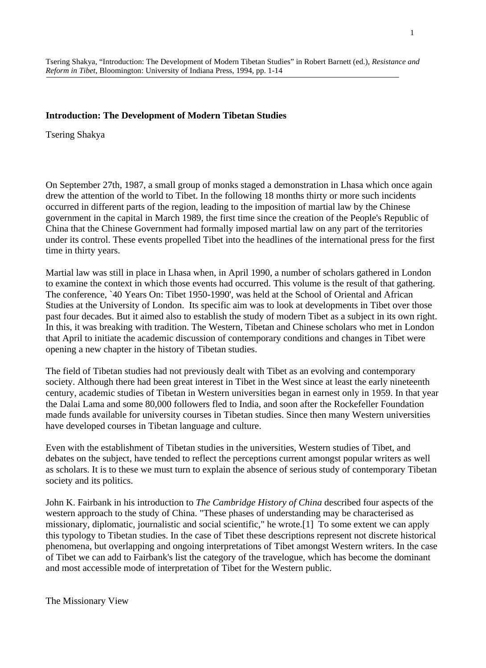### **Introduction: The Development of Modern Tibetan Studies**

Tsering Shakya

On September 27th, 1987, a small group of monks staged a demonstration in Lhasa which once again drew the attention of the world to Tibet. In the following 18 months thirty or more such incidents occurred in different parts of the region, leading to the imposition of martial law by the Chinese government in the capital in March 1989, the first time since the creation of the People's Republic of China that the Chinese Government had formally imposed martial law on any part of the territories under its control. These events propelled Tibet into the headlines of the international press for the first time in thirty years.

Martial law was still in place in Lhasa when, in April 1990, a number of scholars gathered in London to examine the context in which those events had occurred. This volume is the result of that gathering. The conference, `40 Years On: Tibet 1950-1990', was held at the School of Oriental and African Studies at the University of London. Its specific aim was to look at developments in Tibet over those past four decades. But it aimed also to establish the study of modern Tibet as a subject in its own right. In this, it was breaking with tradition. The Western, Tibetan and Chinese scholars who met in London that April to initiate the academic discussion of contemporary conditions and changes in Tibet were opening a new chapter in the history of Tibetan studies.

The field of Tibetan studies had not previously dealt with Tibet as an evolving and contemporary society. Although there had been great interest in Tibet in the West since at least the early nineteenth century, academic studies of Tibetan in Western universities began in earnest only in 1959. In that year the Dalai Lama and some 80,000 followers fled to India, and soon after the Rockefeller Foundation made funds available for university courses in Tibetan studies. Since then many Western universities have developed courses in Tibetan language and culture.

Even with the establishment of Tibetan studies in the universities, Western studies of Tibet, and debates on the subject, have tended to reflect the perceptions current amongst popular writers as well as scholars. It is to these we must turn to explain the absence of serious study of contemporary Tibetan society and its politics.

John K. Fairbank in his introduction to *The Cambridge History of China* described four aspects of the western approach to the study of China. "These phases of understanding may be characterised as missionary, diplomatic, journalistic and social scientific," he wrote.[1] To some extent we can apply this typology to Tibetan studies. In the case of Tibet these descriptions represent not discrete historical phenomena, but overlapping and ongoing interpretations of Tibet amongst Western writers. In the case of Tibet we can add to Fairbank's list the category of the travelogue, which has become the dominant and most accessible mode of interpretation of Tibet for the Western public.

The Missionary View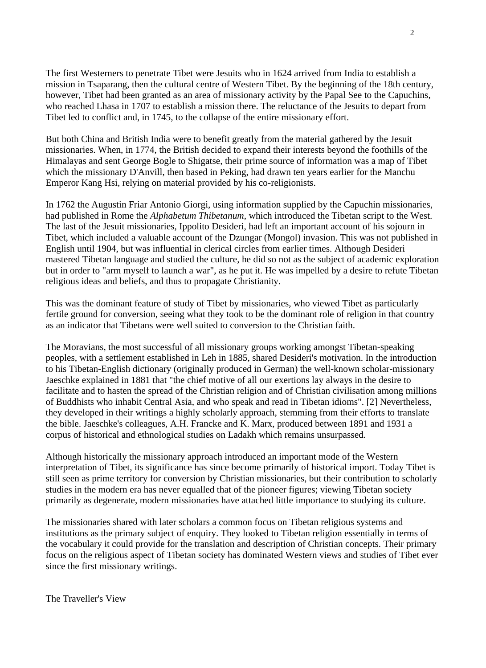The first Westerners to penetrate Tibet were Jesuits who in 1624 arrived from India to establish a mission in Tsaparang, then the cultural centre of Western Tibet. By the beginning of the 18th century, however, Tibet had been granted as an area of missionary activity by the Papal See to the Capuchins, who reached Lhasa in 1707 to establish a mission there. The reluctance of the Jesuits to depart from Tibet led to conflict and, in 1745, to the collapse of the entire missionary effort.

But both China and British India were to benefit greatly from the material gathered by the Jesuit missionaries. When, in 1774, the British decided to expand their interests beyond the foothills of the Himalayas and sent George Bogle to Shigatse, their prime source of information was a map of Tibet which the missionary D'Anvill, then based in Peking, had drawn ten years earlier for the Manchu Emperor Kang Hsi, relying on material provided by his co-religionists.

In 1762 the Augustin Friar Antonio Giorgi, using information supplied by the Capuchin missionaries, had published in Rome the *Alphabetum Thibetanum*, which introduced the Tibetan script to the West. The last of the Jesuit missionaries, Ippolito Desideri, had left an important account of his sojourn in Tibet, which included a valuable account of the Dzungar (Mongol) invasion. This was not published in English until 1904, but was influential in clerical circles from earlier times. Although Desideri mastered Tibetan language and studied the culture, he did so not as the subject of academic exploration but in order to "arm myself to launch a war", as he put it. He was impelled by a desire to refute Tibetan religious ideas and beliefs, and thus to propagate Christianity.

This was the dominant feature of study of Tibet by missionaries, who viewed Tibet as particularly fertile ground for conversion, seeing what they took to be the dominant role of religion in that country as an indicator that Tibetans were well suited to conversion to the Christian faith.

The Moravians, the most successful of all missionary groups working amongst Tibetan-speaking peoples, with a settlement established in Leh in 1885, shared Desideri's motivation. In the introduction to his Tibetan-English dictionary (originally produced in German) the well-known scholar-missionary Jaeschke explained in 1881 that "the chief motive of all our exertions lay always in the desire to facilitate and to hasten the spread of the Christian religion and of Christian civilisation among millions of Buddhists who inhabit Central Asia, and who speak and read in Tibetan idioms". [2] Nevertheless, they developed in their writings a highly scholarly approach, stemming from their efforts to translate the bible. Jaeschke's colleagues, A.H. Francke and K. Marx, produced between 1891 and 1931 a corpus of historical and ethnological studies on Ladakh which remains unsurpassed.

Although historically the missionary approach introduced an important mode of the Western interpretation of Tibet, its significance has since become primarily of historical import. Today Tibet is still seen as prime territory for conversion by Christian missionaries, but their contribution to scholarly studies in the modern era has never equalled that of the pioneer figures; viewing Tibetan society primarily as degenerate, modern missionaries have attached little importance to studying its culture.

The missionaries shared with later scholars a common focus on Tibetan religious systems and institutions as the primary subject of enquiry. They looked to Tibetan religion essentially in terms of the vocabulary it could provide for the translation and description of Christian concepts. Their primary focus on the religious aspect of Tibetan society has dominated Western views and studies of Tibet ever since the first missionary writings.

The Traveller's View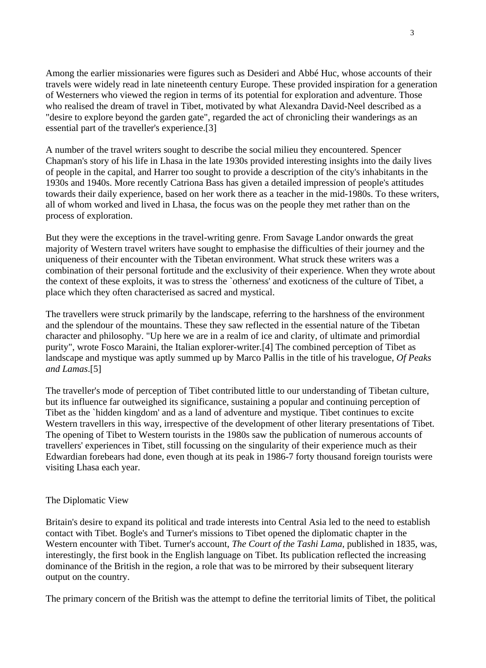Among the earlier missionaries were figures such as Desideri and Abbé Huc, whose accounts of their travels were widely read in late nineteenth century Europe. These provided inspiration for a generation of Westerners who viewed the region in terms of its potential for exploration and adventure. Those who realised the dream of travel in Tibet, motivated by what Alexandra David-Neel described as a "desire to explore beyond the garden gate", regarded the act of chronicling their wanderings as an essential part of the traveller's experience.[3]

A number of the travel writers sought to describe the social milieu they encountered. Spencer Chapman's story of his life in Lhasa in the late 1930s provided interesting insights into the daily lives of people in the capital, and Harrer too sought to provide a description of the city's inhabitants in the 1930s and 1940s. More recently Catriona Bass has given a detailed impression of people's attitudes towards their daily experience, based on her work there as a teacher in the mid-1980s. To these writers, all of whom worked and lived in Lhasa, the focus was on the people they met rather than on the process of exploration.

But they were the exceptions in the travel-writing genre. From Savage Landor onwards the great majority of Western travel writers have sought to emphasise the difficulties of their journey and the uniqueness of their encounter with the Tibetan environment. What struck these writers was a combination of their personal fortitude and the exclusivity of their experience. When they wrote about the context of these exploits, it was to stress the `otherness' and exoticness of the culture of Tibet, a place which they often characterised as sacred and mystical.

The travellers were struck primarily by the landscape, referring to the harshness of the environment and the splendour of the mountains. These they saw reflected in the essential nature of the Tibetan character and philosophy. "Up here we are in a realm of ice and clarity, of ultimate and primordial purity", wrote Fosco Maraini, the Italian explorer-writer.[4] The combined perception of Tibet as landscape and mystique was aptly summed up by Marco Pallis in the title of his travelogue, *Of Peaks and Lamas*.[5]

The traveller's mode of perception of Tibet contributed little to our understanding of Tibetan culture, but its influence far outweighed its significance, sustaining a popular and continuing perception of Tibet as the `hidden kingdom' and as a land of adventure and mystique. Tibet continues to excite Western travellers in this way, irrespective of the development of other literary presentations of Tibet. The opening of Tibet to Western tourists in the 1980s saw the publication of numerous accounts of travellers' experiences in Tibet, still focussing on the singularity of their experience much as their Edwardian forebears had done, even though at its peak in 1986-7 forty thousand foreign tourists were visiting Lhasa each year.

## The Diplomatic View

Britain's desire to expand its political and trade interests into Central Asia led to the need to establish contact with Tibet. Bogle's and Turner's missions to Tibet opened the diplomatic chapter in the Western encounter with Tibet. Turner's account, *The Court of the Tashi Lama*, published in 1835, was, interestingly, the first book in the English language on Tibet. Its publication reflected the increasing dominance of the British in the region, a role that was to be mirrored by their subsequent literary output on the country.

The primary concern of the British was the attempt to define the territorial limits of Tibet, the political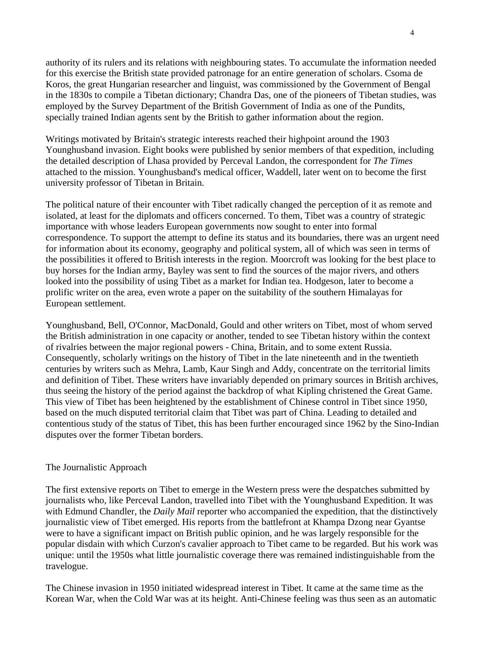authority of its rulers and its relations with neighbouring states. To accumulate the information needed for this exercise the British state provided patronage for an entire generation of scholars. Csoma de Koros, the great Hungarian researcher and linguist, was commissioned by the Government of Bengal in the 1830s to compile a Tibetan dictionary; Chandra Das, one of the pioneers of Tibetan studies, was employed by the Survey Department of the British Government of India as one of the Pundits, specially trained Indian agents sent by the British to gather information about the region.

Writings motivated by Britain's strategic interests reached their highpoint around the 1903 Younghusband invasion. Eight books were published by senior members of that expedition, including the detailed description of Lhasa provided by Perceval Landon, the correspondent for *The Times* attached to the mission. Younghusband's medical officer, Waddell, later went on to become the first university professor of Tibetan in Britain.

The political nature of their encounter with Tibet radically changed the perception of it as remote and isolated, at least for the diplomats and officers concerned. To them, Tibet was a country of strategic importance with whose leaders European governments now sought to enter into formal correspondence. To support the attempt to define its status and its boundaries, there was an urgent need for information about its economy, geography and political system, all of which was seen in terms of the possibilities it offered to British interests in the region. Moorcroft was looking for the best place to buy horses for the Indian army, Bayley was sent to find the sources of the major rivers, and others looked into the possibility of using Tibet as a market for Indian tea. Hodgeson, later to become a prolific writer on the area, even wrote a paper on the suitability of the southern Himalayas for European settlement.

Younghusband, Bell, O'Connor, MacDonald, Gould and other writers on Tibet, most of whom served the British administration in one capacity or another, tended to see Tibetan history within the context of rivalries between the major regional powers - China, Britain, and to some extent Russia. Consequently, scholarly writings on the history of Tibet in the late nineteenth and in the twentieth centuries by writers such as Mehra, Lamb, Kaur Singh and Addy, concentrate on the territorial limits and definition of Tibet. These writers have invariably depended on primary sources in British archives, thus seeing the history of the period against the backdrop of what Kipling christened the Great Game. This view of Tibet has been heightened by the establishment of Chinese control in Tibet since 1950, based on the much disputed territorial claim that Tibet was part of China. Leading to detailed and contentious study of the status of Tibet, this has been further encouraged since 1962 by the Sino-Indian disputes over the former Tibetan borders.

#### The Journalistic Approach

The first extensive reports on Tibet to emerge in the Western press were the despatches submitted by journalists who, like Perceval Landon, travelled into Tibet with the Younghusband Expedition. It was with Edmund Chandler, the *Daily Mail* reporter who accompanied the expedition, that the distinctively journalistic view of Tibet emerged. His reports from the battlefront at Khampa Dzong near Gyantse were to have a significant impact on British public opinion, and he was largely responsible for the popular disdain with which Curzon's cavalier approach to Tibet came to be regarded. But his work was unique: until the 1950s what little journalistic coverage there was remained indistinguishable from the travelogue.

The Chinese invasion in 1950 initiated widespread interest in Tibet. It came at the same time as the Korean War, when the Cold War was at its height. Anti-Chinese feeling was thus seen as an automatic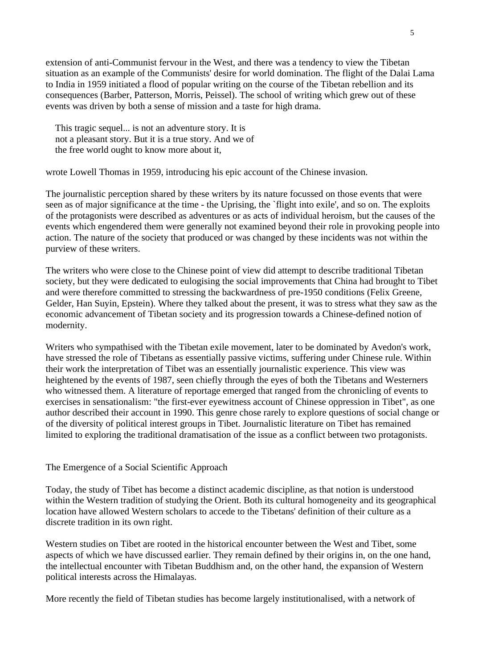extension of anti-Communist fervour in the West, and there was a tendency to view the Tibetan situation as an example of the Communists' desire for world domination. The flight of the Dalai Lama to India in 1959 initiated a flood of popular writing on the course of the Tibetan rebellion and its consequences (Barber, Patterson, Morris, Peissel). The school of writing which grew out of these events was driven by both a sense of mission and a taste for high drama.

 This tragic sequel... is not an adventure story. It is not a pleasant story. But it is a true story. And we of the free world ought to know more about it,

wrote Lowell Thomas in 1959, introducing his epic account of the Chinese invasion.

The journalistic perception shared by these writers by its nature focussed on those events that were seen as of major significance at the time - the Uprising, the `flight into exile', and so on. The exploits of the protagonists were described as adventures or as acts of individual heroism, but the causes of the events which engendered them were generally not examined beyond their role in provoking people into action. The nature of the society that produced or was changed by these incidents was not within the purview of these writers.

The writers who were close to the Chinese point of view did attempt to describe traditional Tibetan society, but they were dedicated to eulogising the social improvements that China had brought to Tibet and were therefore committed to stressing the backwardness of pre-1950 conditions (Felix Greene, Gelder, Han Suyin, Epstein). Where they talked about the present, it was to stress what they saw as the economic advancement of Tibetan society and its progression towards a Chinese-defined notion of modernity.

Writers who sympathised with the Tibetan exile movement, later to be dominated by Avedon's work, have stressed the role of Tibetans as essentially passive victims, suffering under Chinese rule. Within their work the interpretation of Tibet was an essentially journalistic experience. This view was heightened by the events of 1987, seen chiefly through the eyes of both the Tibetans and Westerners who witnessed them. A literature of reportage emerged that ranged from the chronicling of events to exercises in sensationalism: "the first-ever eyewitness account of Chinese oppression in Tibet", as one author described their account in 1990. This genre chose rarely to explore questions of social change or of the diversity of political interest groups in Tibet. Journalistic literature on Tibet has remained limited to exploring the traditional dramatisation of the issue as a conflict between two protagonists.

# The Emergence of a Social Scientific Approach

Today, the study of Tibet has become a distinct academic discipline, as that notion is understood within the Western tradition of studying the Orient. Both its cultural homogeneity and its geographical location have allowed Western scholars to accede to the Tibetans' definition of their culture as a discrete tradition in its own right.

Western studies on Tibet are rooted in the historical encounter between the West and Tibet, some aspects of which we have discussed earlier. They remain defined by their origins in, on the one hand, the intellectual encounter with Tibetan Buddhism and, on the other hand, the expansion of Western political interests across the Himalayas.

More recently the field of Tibetan studies has become largely institutionalised, with a network of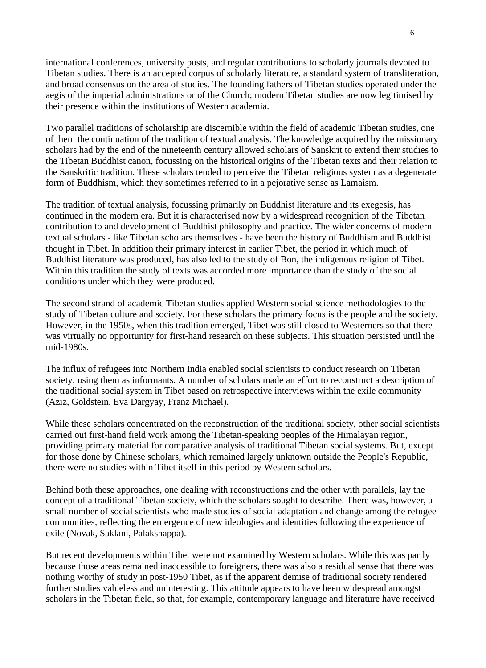international conferences, university posts, and regular contributions to scholarly journals devoted to Tibetan studies. There is an accepted corpus of scholarly literature, a standard system of transliteration, and broad consensus on the area of studies. The founding fathers of Tibetan studies operated under the aegis of the imperial administrations or of the Church; modern Tibetan studies are now legitimised by their presence within the institutions of Western academia.

Two parallel traditions of scholarship are discernible within the field of academic Tibetan studies, one of them the continuation of the tradition of textual analysis. The knowledge acquired by the missionary scholars had by the end of the nineteenth century allowed scholars of Sanskrit to extend their studies to the Tibetan Buddhist canon, focussing on the historical origins of the Tibetan texts and their relation to the Sanskritic tradition. These scholars tended to perceive the Tibetan religious system as a degenerate form of Buddhism, which they sometimes referred to in a pejorative sense as Lamaism.

The tradition of textual analysis, focussing primarily on Buddhist literature and its exegesis, has continued in the modern era. But it is characterised now by a widespread recognition of the Tibetan contribution to and development of Buddhist philosophy and practice. The wider concerns of modern textual scholars - like Tibetan scholars themselves - have been the history of Buddhism and Buddhist thought in Tibet. In addition their primary interest in earlier Tibet, the period in which much of Buddhist literature was produced, has also led to the study of Bon, the indigenous religion of Tibet. Within this tradition the study of texts was accorded more importance than the study of the social conditions under which they were produced.

The second strand of academic Tibetan studies applied Western social science methodologies to the study of Tibetan culture and society. For these scholars the primary focus is the people and the society. However, in the 1950s, when this tradition emerged, Tibet was still closed to Westerners so that there was virtually no opportunity for first-hand research on these subjects. This situation persisted until the mid-1980s.

The influx of refugees into Northern India enabled social scientists to conduct research on Tibetan society, using them as informants. A number of scholars made an effort to reconstruct a description of the traditional social system in Tibet based on retrospective interviews within the exile community (Aziz, Goldstein, Eva Dargyay, Franz Michael).

While these scholars concentrated on the reconstruction of the traditional society, other social scientists carried out first-hand field work among the Tibetan-speaking peoples of the Himalayan region, providing primary material for comparative analysis of traditional Tibetan social systems. But, except for those done by Chinese scholars, which remained largely unknown outside the People's Republic, there were no studies within Tibet itself in this period by Western scholars.

Behind both these approaches, one dealing with reconstructions and the other with parallels, lay the concept of a traditional Tibetan society, which the scholars sought to describe. There was, however, a small number of social scientists who made studies of social adaptation and change among the refugee communities, reflecting the emergence of new ideologies and identities following the experience of exile (Novak, Saklani, Palakshappa).

But recent developments within Tibet were not examined by Western scholars. While this was partly because those areas remained inaccessible to foreigners, there was also a residual sense that there was nothing worthy of study in post-1950 Tibet, as if the apparent demise of traditional society rendered further studies valueless and uninteresting. This attitude appears to have been widespread amongst scholars in the Tibetan field, so that, for example, contemporary language and literature have received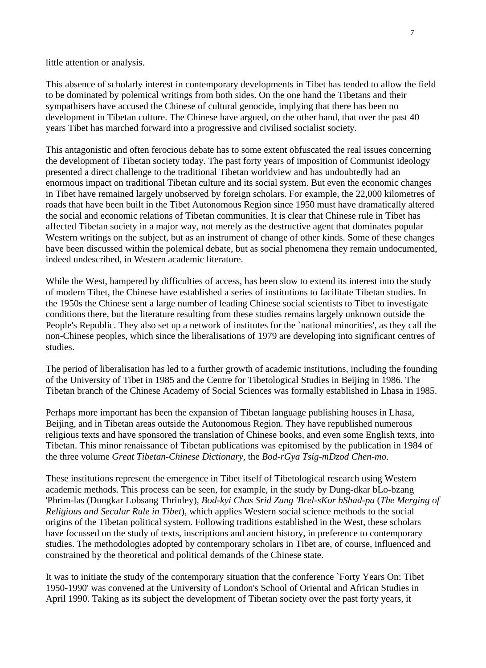little attention or analysis.

This absence of scholarly interest in contemporary developments in Tibet has tended to allow the field to be dominated by polemical writings from both sides. On the one hand the Tibetans and their sympathisers have accused the Chinese of cultural genocide, implying that there has been no development in Tibetan culture. The Chinese have argued, on the other hand, that over the past 40 years Tibet has marched forward into a progressive and civilised socialist society.

This antagonistic and often ferocious debate has to some extent obfuscated the real issues concerning the development of Tibetan society today. The past forty years of imposition of Communist ideology presented a direct challenge to the traditional Tibetan worldview and has undoubtedly had an enormous impact on traditional Tibetan culture and its social system. But even the economic changes in Tibet have remained largely unobserved by foreign scholars. For example, the 22,000 kilometres of roads that have been built in the Tibet Autonomous Region since 1950 must have dramatically altered the social and economic relations of Tibetan communities. It is clear that Chinese rule in Tibet has affected Tibetan society in a major way, not merely as the destructive agent that dominates popular Western writings on the subject, but as an instrument of change of other kinds. Some of these changes have been discussed within the polemical debate, but as social phenomena they remain undocumented, indeed undescribed, in Western academic literature.

While the West, hampered by difficulties of access, has been slow to extend its interest into the study of modern Tibet, the Chinese have established a series of institutions to facilitate Tibetan studies. In the 1950s the Chinese sent a large number of leading Chinese social scientists to Tibet to investigate conditions there, but the literature resulting from these studies remains largely unknown outside the People's Republic. They also set up a network of institutes for the `national minorities', as they call the non-Chinese peoples, which since the liberalisations of 1979 are developing into significant centres of studies.

The period of liberalisation has led to a further growth of academic institutions, including the founding of the University of Tibet in 1985 and the Centre for Tibetological Studies in Beijing in 1986. The Tibetan branch of the Chinese Academy of Social Sciences was formally established in Lhasa in 1985.

Perhaps more important has been the expansion of Tibetan language publishing houses in Lhasa, Beijing, and in Tibetan areas outside the Autonomous Region. They have republished numerous religious texts and have sponsored the translation of Chinese books, and even some English texts, into Tibetan. This minor renaissance of Tibetan publications was epitomised by the publication in 1984 of the three volume *Great Tibetan-Chinese Dictionary*, the *Bod-rGya Tsig-mDzod Chen-mo*.

These institutions represent the emergence in Tibet itself of Tibetological research using Western academic methods. This process can be seen, for example, in the study by Dung-dkar bLo-bzang 'Phrim-las (Dungkar Lobsang Thrinley), *Bod-kyi Chos Srid Zung 'Brel-sKor bShad-pa* (*The Merging of Religious and Secular Rule in Tibet*), which applies Western social science methods to the social origins of the Tibetan political system. Following traditions established in the West, these scholars have focussed on the study of texts, inscriptions and ancient history, in preference to contemporary studies. The methodologies adopted by contemporary scholars in Tibet are, of course, influenced and constrained by the theoretical and political demands of the Chinese state.

It was to initiate the study of the contemporary situation that the conference `Forty Years On: Tibet 1950-1990' was convened at the University of London's School of Oriental and African Studies in April 1990. Taking as its subject the development of Tibetan society over the past forty years, it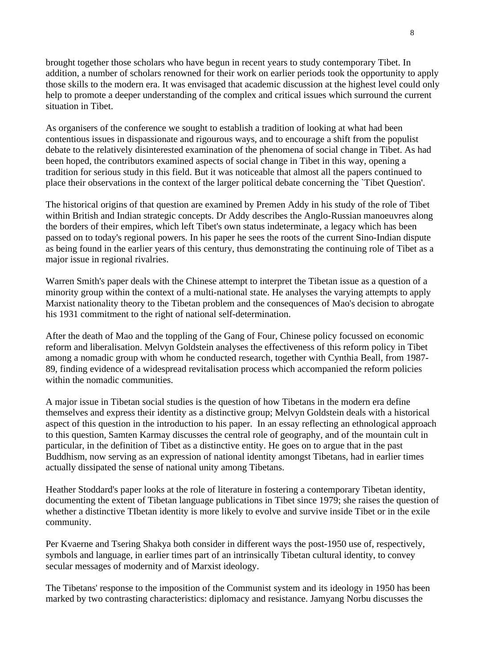brought together those scholars who have begun in recent years to study contemporary Tibet. In addition, a number of scholars renowned for their work on earlier periods took the opportunity to apply those skills to the modern era. It was envisaged that academic discussion at the highest level could only help to promote a deeper understanding of the complex and critical issues which surround the current situation in Tibet.

As organisers of the conference we sought to establish a tradition of looking at what had been contentious issues in dispassionate and rigourous ways, and to encourage a shift from the populist debate to the relatively disinterested examination of the phenomena of social change in Tibet. As had been hoped, the contributors examined aspects of social change in Tibet in this way, opening a tradition for serious study in this field. But it was noticeable that almost all the papers continued to place their observations in the context of the larger political debate concerning the `Tibet Question'.

The historical origins of that question are examined by Premen Addy in his study of the role of Tibet within British and Indian strategic concepts. Dr Addy describes the Anglo-Russian manoeuvres along the borders of their empires, which left Tibet's own status indeterminate, a legacy which has been passed on to today's regional powers. In his paper he sees the roots of the current Sino-Indian dispute as being found in the earlier years of this century, thus demonstrating the continuing role of Tibet as a major issue in regional rivalries.

Warren Smith's paper deals with the Chinese attempt to interpret the Tibetan issue as a question of a minority group within the context of a multi-national state. He analyses the varying attempts to apply Marxist nationality theory to the Tibetan problem and the consequences of Mao's decision to abrogate his 1931 commitment to the right of national self-determination.

After the death of Mao and the toppling of the Gang of Four, Chinese policy focussed on economic reform and liberalisation. Melvyn Goldstein analyses the effectiveness of this reform policy in Tibet among a nomadic group with whom he conducted research, together with Cynthia Beall, from 1987- 89, finding evidence of a widespread revitalisation process which accompanied the reform policies within the nomadic communities.

A major issue in Tibetan social studies is the question of how Tibetans in the modern era define themselves and express their identity as a distinctive group; Melvyn Goldstein deals with a historical aspect of this question in the introduction to his paper. In an essay reflecting an ethnological approach to this question, Samten Karmay discusses the central role of geography, and of the mountain cult in particular, in the definition of Tibet as a distinctive entity. He goes on to argue that in the past Buddhism, now serving as an expression of national identity amongst Tibetans, had in earlier times actually dissipated the sense of national unity among Tibetans.

Heather Stoddard's paper looks at the role of literature in fostering a contemporary Tibetan identity, documenting the extent of Tibetan language publications in Tibet since 1979; she raises the question of whether a distinctive TIbetan identity is more likely to evolve and survive inside Tibet or in the exile community.

Per Kvaerne and Tsering Shakya both consider in different ways the post-1950 use of, respectively, symbols and language, in earlier times part of an intrinsically Tibetan cultural identity, to convey secular messages of modernity and of Marxist ideology.

The Tibetans' response to the imposition of the Communist system and its ideology in 1950 has been marked by two contrasting characteristics: diplomacy and resistance. Jamyang Norbu discusses the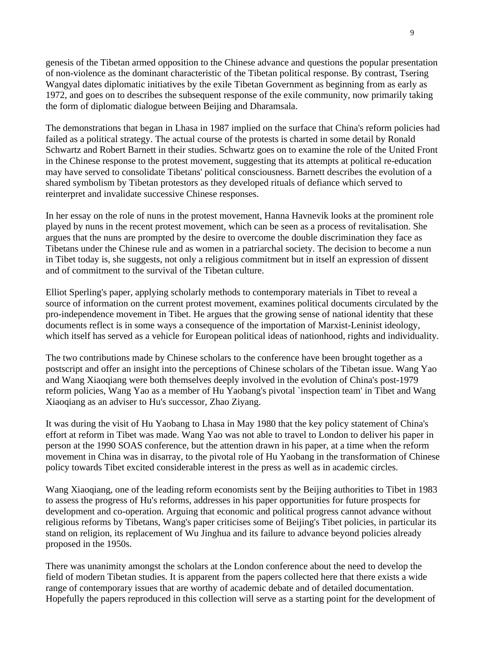genesis of the Tibetan armed opposition to the Chinese advance and questions the popular presentation of non-violence as the dominant characteristic of the Tibetan political response. By contrast, Tsering Wangyal dates diplomatic initiatives by the exile Tibetan Government as beginning from as early as 1972, and goes on to describes the subsequent response of the exile community, now primarily taking the form of diplomatic dialogue between Beijing and Dharamsala.

The demonstrations that began in Lhasa in 1987 implied on the surface that China's reform policies had failed as a political strategy. The actual course of the protests is charted in some detail by Ronald Schwartz and Robert Barnett in their studies. Schwartz goes on to examine the role of the United Front in the Chinese response to the protest movement, suggesting that its attempts at political re-education may have served to consolidate Tibetans' political consciousness. Barnett describes the evolution of a shared symbolism by Tibetan protestors as they developed rituals of defiance which served to reinterpret and invalidate successive Chinese responses.

In her essay on the role of nuns in the protest movement, Hanna Havnevik looks at the prominent role played by nuns in the recent protest movement, which can be seen as a process of revitalisation. She argues that the nuns are prompted by the desire to overcome the double discrimination they face as Tibetans under the Chinese rule and as women in a patriarchal society. The decision to become a nun in Tibet today is, she suggests, not only a religious commitment but in itself an expression of dissent and of commitment to the survival of the Tibetan culture.

Elliot Sperling's paper, applying scholarly methods to contemporary materials in Tibet to reveal a source of information on the current protest movement, examines political documents circulated by the pro-independence movement in Tibet. He argues that the growing sense of national identity that these documents reflect is in some ways a consequence of the importation of Marxist-Leninist ideology, which itself has served as a vehicle for European political ideas of nationhood, rights and individuality.

The two contributions made by Chinese scholars to the conference have been brought together as a postscript and offer an insight into the perceptions of Chinese scholars of the Tibetan issue. Wang Yao and Wang Xiaoqiang were both themselves deeply involved in the evolution of China's post-1979 reform policies, Wang Yao as a member of Hu Yaobang's pivotal `inspection team' in Tibet and Wang Xiaoqiang as an adviser to Hu's successor, Zhao Ziyang.

It was during the visit of Hu Yaobang to Lhasa in May 1980 that the key policy statement of China's effort at reform in Tibet was made. Wang Yao was not able to travel to London to deliver his paper in person at the 1990 SOAS conference, but the attention drawn in his paper, at a time when the reform movement in China was in disarray, to the pivotal role of Hu Yaobang in the transformation of Chinese policy towards Tibet excited considerable interest in the press as well as in academic circles.

Wang Xiaoqiang, one of the leading reform economists sent by the Beijing authorities to Tibet in 1983 to assess the progress of Hu's reforms, addresses in his paper opportunities for future prospects for development and co-operation. Arguing that economic and political progress cannot advance without religious reforms by Tibetans, Wang's paper criticises some of Beijing's Tibet policies, in particular its stand on religion, its replacement of Wu Jinghua and its failure to advance beyond policies already proposed in the 1950s.

There was unanimity amongst the scholars at the London conference about the need to develop the field of modern Tibetan studies. It is apparent from the papers collected here that there exists a wide range of contemporary issues that are worthy of academic debate and of detailed documentation. Hopefully the papers reproduced in this collection will serve as a starting point for the development of